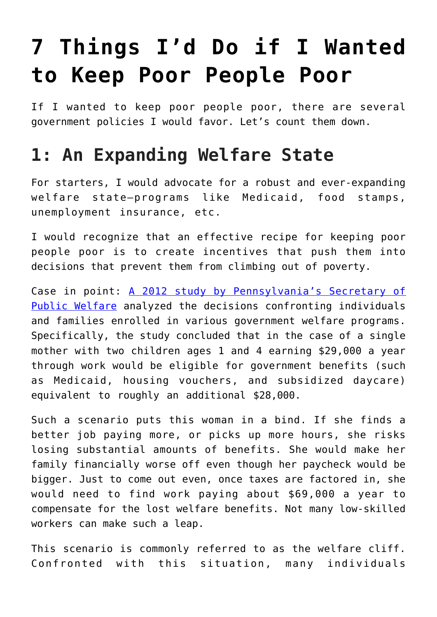# **[7 Things I'd Do if I Wanted](https://intellectualtakeout.org/2018/08/7-things-id-do-if-i-wanted-to-keep-poor-people-poor/) [to Keep Poor People Poor](https://intellectualtakeout.org/2018/08/7-things-id-do-if-i-wanted-to-keep-poor-people-poor/)**

If I wanted to keep poor people poor, there are several government policies I would favor. Let's count them down.

## **1: An Expanding Welfare State**

For starters, I would advocate for a robust and ever-expanding welfare state—programs like Medicaid, food stamps, unemployment insurance, etc.

I would recognize that an effective recipe for keeping poor people poor is to create incentives that push them into decisions that prevent them from climbing out of poverty.

Case in point: [A 2012 study by Pennsylvania's Secretary of](http://www.thelizlibrary.org/liz/2012-welfare-failure.pdf) [Public Welfare](http://www.thelizlibrary.org/liz/2012-welfare-failure.pdf) analyzed the decisions confronting individuals and families enrolled in various government welfare programs. Specifically, the study concluded that in the case of a single mother with two children ages 1 and 4 earning \$29,000 a year through work would be eligible for government benefits (such as Medicaid, housing vouchers, and subsidized daycare) equivalent to roughly an additional \$28,000.

Such a scenario puts this woman in a bind. If she finds a better job paying more, or picks up more hours, she risks losing substantial amounts of benefits. She would make her family financially worse off even though her paycheck would be bigger. Just to come out even, once taxes are factored in, she would need to find work paying about \$69,000 a year to compensate for the lost welfare benefits. Not many low-skilled workers can make such a leap.

This scenario is commonly referred to as the welfare cliff. Confronted with this situation, many individuals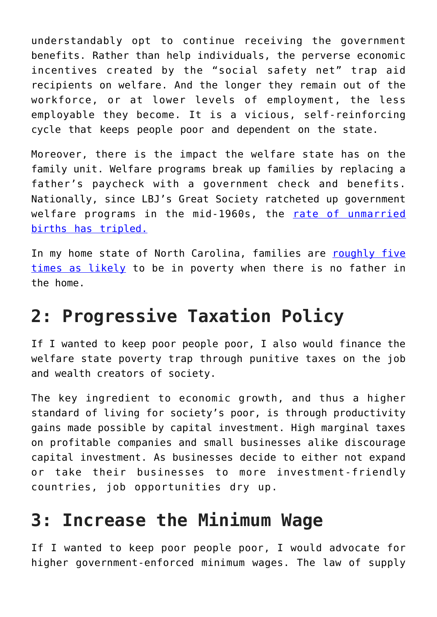understandably opt to continue receiving the government benefits. Rather than help individuals, the perverse economic incentives created by the "social safety net" trap aid recipients on welfare. And the longer they remain out of the workforce, or at lower levels of employment, the less employable they become. It is a vicious, self-reinforcing cycle that keeps people poor and dependent on the state.

Moreover, there is the impact the welfare state has on the family unit. Welfare programs break up families by replacing a father's paycheck with a government check and benefits. Nationally, since LBJ's Great Society ratcheted up government welfare programs in the mid-1960s, the [rate of unmarried](https://www.washingtonpost.com/news/wonk/wp/2014/12/18/the-unbelievable-rise-of-single-motherhood-in-america-over-the-last-50-years/?noredirect=on&utm_term=.ec52a122892b) [births has tripled.](https://www.washingtonpost.com/news/wonk/wp/2014/12/18/the-unbelievable-rise-of-single-motherhood-in-america-over-the-last-50-years/?noredirect=on&utm_term=.ec52a122892b)

In my home state of North Carolina, families are [roughly five](https://www.nccivitas.org/2018/toxic-agenda-poverty-north-carolina-part-1/) [times as likely](https://www.nccivitas.org/2018/toxic-agenda-poverty-north-carolina-part-1/) to be in poverty when there is no father in the home.

#### **2: Progressive Taxation Policy**

If I wanted to keep poor people poor, I also would finance the welfare state poverty trap through punitive taxes on the job and wealth creators of society.

The key ingredient to economic growth, and thus a higher standard of living for society's poor, is through productivity gains made possible by capital investment. High marginal taxes on profitable companies and small businesses alike discourage capital investment. As businesses decide to either not expand or take their businesses to more investment-friendly countries, job opportunities dry up.

#### **3: Increase the Minimum Wage**

If I wanted to keep poor people poor, I would advocate for higher government-enforced minimum wages. The law of supply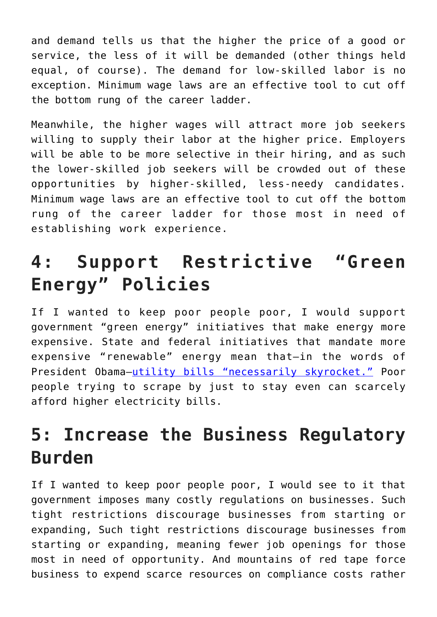and demand tells us that the higher the price of a good or service, the less of it will be demanded (other things held equal, of course). The demand for low-skilled labor is no exception. Minimum wage laws are an effective tool to cut off the bottom rung of the career ladder.

Meanwhile, the higher wages will attract more job seekers willing to supply their labor at the higher price. Employers will be able to be more selective in their hiring, and as such the lower-skilled job seekers will be crowded out of these opportunities by higher-skilled, less-needy candidates. Minimum wage laws are an effective tool to cut off the bottom rung of the career ladder for those most in need of establishing work experience.

## **4: Support Restrictive "Green Energy" Policies**

If I wanted to keep poor people poor, I would support government "green energy" initiatives that make energy more expensive. State and federal initiatives that mandate more expensive "renewable" energy mean that—in the words of President Obama—[utility bills "necessarily skyrocket."](https://www.politico.com/story/2012/04/uttered-in-2008-still-haunting-obama-in-2012-074892) Poor people trying to scrape by just to stay even can scarcely afford higher electricity bills.

#### **5: Increase the Business Regulatory Burden**

If I wanted to keep poor people poor, I would see to it that government imposes many costly regulations on businesses. Such tight restrictions discourage businesses from starting or expanding, Such tight restrictions discourage businesses from starting or expanding, meaning fewer job openings for those most in need of opportunity. And mountains of red tape force business to expend scarce resources on compliance costs rather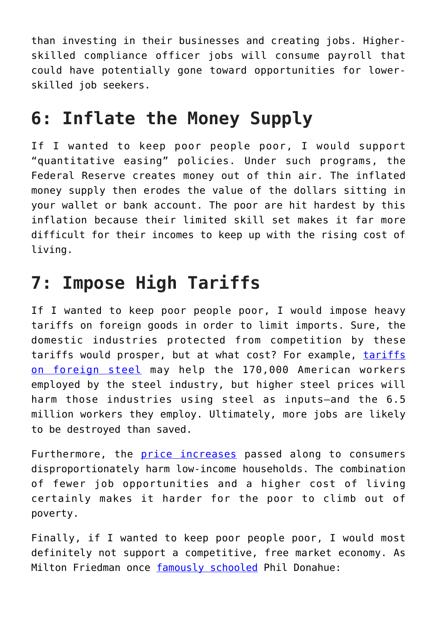than investing in their businesses and creating jobs. Higherskilled compliance officer jobs will consume payroll that could have potentially gone toward opportunities for lowerskilled job seekers.

#### **6: Inflate the Money Supply**

If I wanted to keep poor people poor, I would support "quantitative easing" policies. Under such programs, the Federal Reserve creates money out of thin air. The inflated money supply then erodes the value of the dollars sitting in your wallet or bank account. The poor are hit hardest by this inflation because their limited skill set makes it far more difficult for their incomes to keep up with the rising cost of living.

### **7: Impose High Tariffs**

If I wanted to keep poor people poor, I would impose heavy tariffs on foreign goods in order to limit imports. Sure, the domestic industries protected from competition by these [tariffs](https://www.nytimes.com/2018/03/05/opinion/trump-tariff-americans-jobs.html) would prosper, but at what cost? For example, tariffs [on foreign steel](https://www.nytimes.com/2018/03/05/opinion/trump-tariff-americans-jobs.html) may help the 170,000 American workers employed by the steel industry, but higher steel prices will harm those industries using steel as inputs—and the 6.5 million workers they employ. Ultimately, more jobs are likely to be destroyed than saved.

Furthermore, the **[price increases](https://www.usatoday.com/story/money/2018/07/30/coca-cola-raises-prices-amidst-trump-tariff-aluminum/865736002/)** passed along to consumers disproportionately harm low-income households. The combination of fewer job opportunities and a higher cost of living certainly makes it harder for the poor to climb out of poverty.

Finally, if I wanted to keep poor people poor, I would most definitely not support a competitive, free market economy. As Milton Friedman once [famously schooled](https://www.youtube.com/watch?v=RWsx1X8PV_A) Phil Donahue: